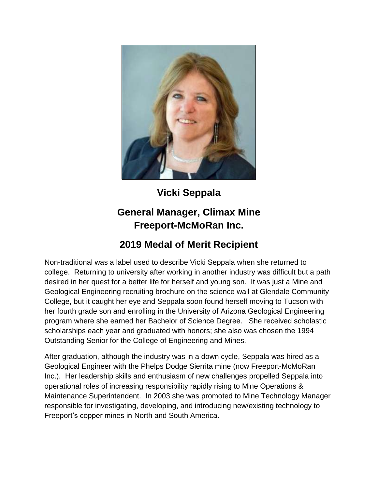

## **Vicki Seppala**

## **General Manager, Climax Mine Freeport-McMoRan Inc.**

## **2019 Medal of Merit Recipient**

Non-traditional was a label used to describe Vicki Seppala when she returned to college. Returning to university after working in another industry was difficult but a path desired in her quest for a better life for herself and young son. It was just a Mine and Geological Engineering recruiting brochure on the science wall at Glendale Community College, but it caught her eye and Seppala soon found herself moving to Tucson with her fourth grade son and enrolling in the University of Arizona Geological Engineering program where she earned her Bachelor of Science Degree. She received scholastic scholarships each year and graduated with honors; she also was chosen the 1994 Outstanding Senior for the College of Engineering and Mines.

After graduation, although the industry was in a down cycle, Seppala was hired as a Geological Engineer with the Phelps Dodge Sierrita mine (now Freeport-McMoRan Inc.). Her leadership skills and enthusiasm of new challenges propelled Seppala into operational roles of increasing responsibility rapidly rising to Mine Operations & Maintenance Superintendent. In 2003 she was promoted to Mine Technology Manager responsible for investigating, developing, and introducing new/existing technology to Freeport's copper mines in North and South America.